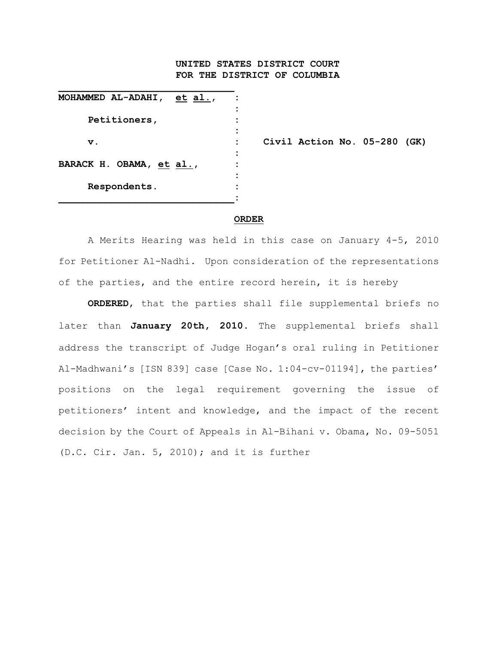## **UNITED STATES DISTRICT COURT FOR THE DISTRICT OF COLUMBIA**

| MOHAMMED AL-ADAHI,<br>et al., |  |
|-------------------------------|--|
| Petitioners,                  |  |
| $\mathbf v$ .                 |  |
| BARACK H. OBAMA, et al.,      |  |
| Respondents.                  |  |

**v. : Civil Action No. 05-280 (GK)** 

## **ORDER**

A Merits Hearing was held in this case on January 4-5, 2010 for Petitioner Al-Nadhi. Upon consideration of the representations of the parties, and the entire record herein, it is hereby

**ORDERED**, that the parties shall file supplemental briefs no later than **January 20th, 2010**. The supplemental briefs shall address the transcript of Judge Hogan's oral ruling in Petitioner Al-Madhwani's [ISN 839] case [Case No. 1:04-cv-01194], the parties' positions on the legal requirement governing the issue of petitioners' intent and knowledge, and the impact of the recent decision by the Court of Appeals in Al-Bihani v. Obama, No. 09-5051 (D.C. Cir. Jan. 5, 2010); and it is further